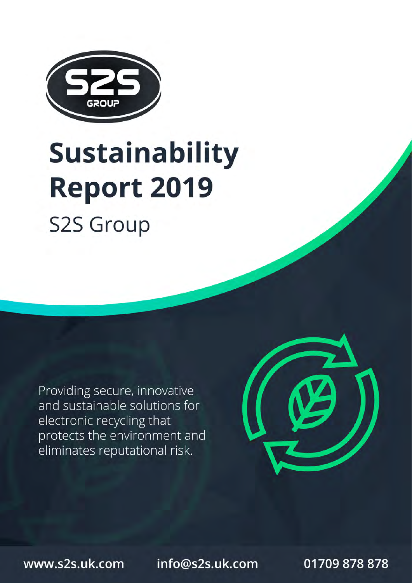

# **Sustainability Report 2019**

**S2S Group** 

Providing secure, innovative and sustainable solutions for electronic recycling that protects the environment and eliminates reputational risk.



www.s2s.uk.com

info@s2s.uk.com

01709 878 878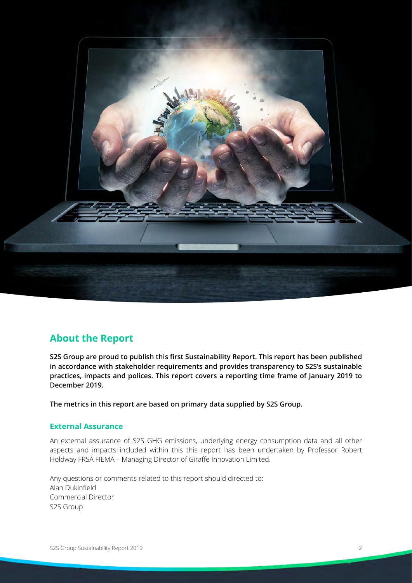

# <span id="page-1-0"></span>**About the Report**

**S2S Group are proud to publish this first Sustainability Report. This report has been published in accordance with stakeholder requirements and provides transparency to S2S's sustainable practices, impacts and polices. This report covers a reporting time frame of January 2019 to December 2019.**

**The metrics in this report are based on primary data supplied by S2S Group.**

#### <span id="page-1-1"></span>**External Assurance**

An external assurance of S2S GHG emissions, underlying energy consumption data and all other aspects and impacts included within this this report has been undertaken by Professor Robert Holdway FRSA FIEMA – Managing Director of Giraffe Innovation Limited.

Any questions or comments related to this report should directed to: Alan Dukinfield Commercial Director S2S Group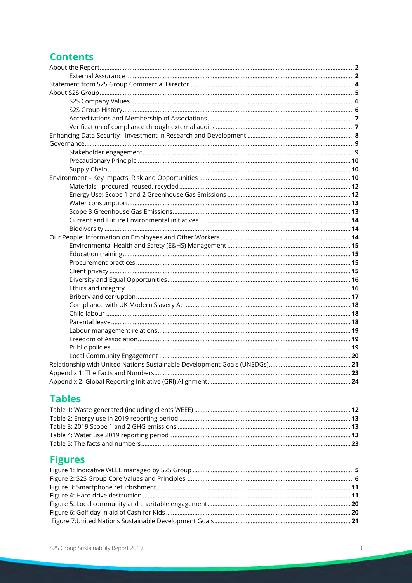# **Contents**

# **Tables**

# **Figures**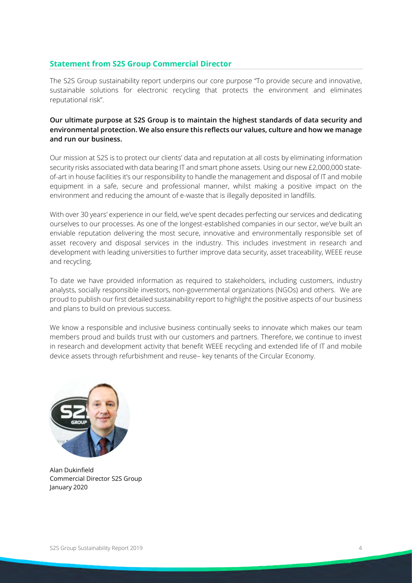#### <span id="page-3-0"></span>**Statement from S2S Group Commercial Director**

The S2S Group sustainability report underpins our core purpose "To provide secure and innovative, sustainable solutions for electronic recycling that protects the environment and eliminates reputational risk".

#### **Our ultimate purpose at S2S Group is to maintain the highest standards of data security and environmental protection. We also ensure this reflects our values, culture and how we manage and run our business.**

Our mission at S2S is to protect our clients' data and reputation at all costs by eliminating information security risks associated with data bearing IT and smart phone assets. Using our new £2,000,000 stateof-art in house facilities it's our responsibility to handle the management and disposal of IT and mobile equipment in a safe, secure and professional manner, whilst making a positive impact on the environment and reducing the amount of e-waste that is illegally deposited in landfills.

With over 30 years' experience in our field, we've spent decades perfecting our services and dedicating ourselves to our processes. As one of the longest-established companies in our sector, we've built an enviable reputation delivering the most secure, innovative and environmentally responsible set of asset recovery and disposal services in the industry. This includes investment in research and development with leading universities to further improve data security, asset traceability, WEEE reuse and recycling.

To date we have provided information as required to stakeholders, including customers, industry analysts, socially responsible investors, non-governmental organizations (NGOs) and others. We are proud to publish our first detailed sustainability report to highlight the positive aspects of our business and plans to build on previous success.

We know a responsible and inclusive business continually seeks to innovate which makes our team members proud and builds trust with our customers and partners. Therefore, we continue to invest in research and development activity that benefit WEEE recycling and extended life of IT and mobile device assets through refurbishment and reuse– key tenants of the Circular Economy.



Alan Dukinfield Commercial Director S2S Group January 2020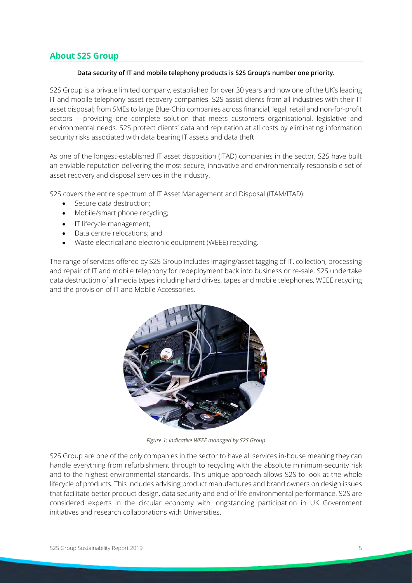## <span id="page-4-0"></span>**About S2S Group**

#### **Data security of IT and mobile telephony products is S2S Group's number one priority.**

S2S Group is a private limited company, established for over 30 years and now one of the UK's leading IT and mobile telephony asset recovery companies. S2S assist clients from all industries with their IT asset disposal; from SMEs to large Blue-Chip companies across financial, legal, retail and non-for-profit sectors – providing one complete solution that meets customers organisational, legislative and environmental needs. S2S protect clients' data and reputation at all costs by eliminating information security risks associated with data bearing IT assets and data theft.

As one of the longest-established IT asset disposition (ITAD) companies in the sector, S2S have built an enviable reputation delivering the most secure, innovative and environmentally responsible set of asset recovery and disposal services in the industry.

S2S covers the entire spectrum of IT Asset Management and Disposal (ITAM/ITAD):

- Secure data destruction;
- Mobile/smart phone recycling;
- IT lifecycle management;
- Data centre relocations; and
- Waste electrical and electronic equipment (WEEE) recycling.

The range of services offered by S2S Group includes imaging/asset tagging of IT, collection, processing and repair of IT and mobile telephony for redeployment back into business or re-sale. S2S undertake data destruction of all media types including hard drives, tapes and mobile telephones, WEEE recycling and the provision of IT and Mobile Accessories.



*Figure 1: Indicative WEEE managed by S2S Group*

<span id="page-4-1"></span>S2S Group are one of the only companies in the sector to have all services in-house meaning they can handle everything from refurbishment through to recycling with the absolute minimum-security risk and to the highest environmental standards. This unique approach allows S2S to look at the whole lifecycle of products. This includes advising product manufactures and brand owners on design issues that facilitate better product design, data security and end of life environmental performance. S2S are considered experts in the circular economy with longstanding participation in UK Government initiatives and research collaborations with Universities.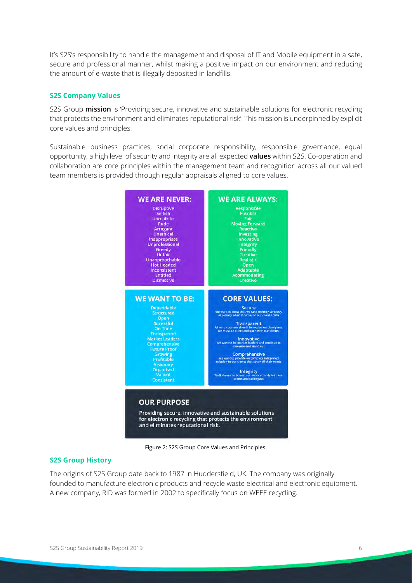It's S2S's responsibility to handle the management and disposal of IT and Mobile equipment in a safe, secure and professional manner, whilst making a positive impact on our environment and reducing the amount of e-waste that is illegally deposited in landfills.

#### <span id="page-5-0"></span>**S2S Company Values**

S2S Group **mission** is 'Providing secure, innovative and sustainable solutions for electronic recycling that protects the environment and eliminates reputational risk'. This mission is underpinned by explicit core values and principles.

Sustainable business practices, social corporate responsibility, responsible governance, equal opportunity, a high level of security and integrity are all expected **values** within S2S. Co-operation and collaboration are core principles within the management team and recognition across all our valued team members is provided through regular appraisals aligned to core values.



Figure 2: S2S Group Core Values and Principles.

#### <span id="page-5-2"></span><span id="page-5-1"></span>**S2S Group History**

The origins of S2S Group date back to 1987 in Huddersfield, UK. The company was originally founded to manufacture electronic products and recycle waste electrical and electronic equipment. A new company, RID was formed in 2002 to specifically focus on WEEE recycling.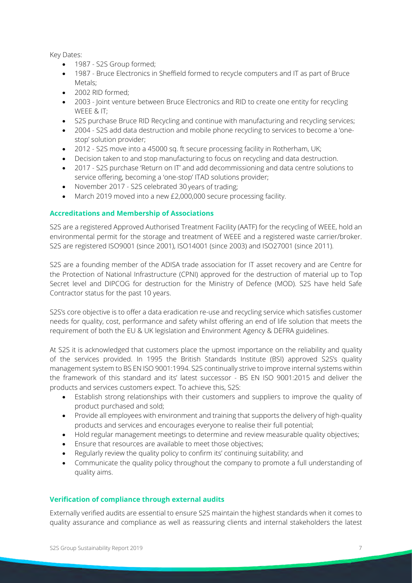Key Dates:

- 1987 S2S Group formed;
- 1987 Bruce Electronics in Sheffield formed to recycle computers and IT as part of Bruce Metals;
- 2002 RID formed;
- 2003 Joint venture between Bruce Electronics and RID to create one entity for recycling WEEE & IT;
- S2S purchase Bruce RID Recycling and continue with manufacturing and recycling services;
- 2004 S2S add data destruction and mobile phone recycling to services to become a 'onestop' solution provider;
- 2012 S2S move into a 45000 sq. ft secure processing facility in Rotherham, UK;
- Decision taken to and stop manufacturing to focus on recycling and data destruction.
- 2017 S2S purchase 'Return on IT' and add decommissioning and data centre solutions to service offering, becoming a 'one-stop' ITAD solutions provider;
- November 2017 S2S celebrated 30 years of trading;
- March 2019 moved into a new £2,000,000 secure processing facility.

#### <span id="page-6-0"></span>**Accreditations and Membership of Associations**

S2S are a registered Approved Authorised Treatment Facility (AATF) for the recycling of WEEE, hold an environmental permit for the storage and treatment of WEEE and a registered waste carrier/broker. S2S are registered ISO9001 (since 2001), ISO14001 (since 2003) and ISO27001 (since 2011).

S2S are a founding member of the ADISA trade association for IT asset recovery and are Centre for the Protection of National Infrastructure (CPNI) approved for the destruction of material up to Top Secret level and DIPCOG for destruction for the Ministry of Defence (MOD). S2S have held Safe Contractor status for the past 10 years.

S2S's core objective is to offer a data eradication re-use and recycling service which satisfies customer needs for quality, cost, performance and safety whilst offering an end of life solution that meets the requirement of both the EU & UK legislation and Environment Agency & DEFRA guidelines.

At S2S it is acknowledged that customers place the upmost importance on the reliability and quality of the services provided. In 1995 the British Standards Institute (BSI) approved S2S's quality management system to BS EN ISO 9001:1994. S2S continually strive to improve internal systems within the framework of this standard and its' latest successor - BS EN ISO 9001:2015 and deliver the products and services customers expect. To achieve this, S2S:

- Establish strong relationships with their customers and suppliers to improve the quality of product purchased and sold;
- Provide all employees with environment and training that supports the delivery of high-quality products and services and encourages everyone to realise their full potential;
- Hold regular management meetings to determine and review measurable quality objectives;
- Ensure that resources are available to meet those objectives;
- Regularly review the quality policy to confirm its' continuing suitability; and
- Communicate the quality policy throughout the company to promote a full understanding of quality aims.

#### <span id="page-6-1"></span>**Verification of compliance through external audits**

Externally verified audits are essential to ensure S2S maintain the highest standards when it comes to quality assurance and compliance as well as reassuring clients and internal stakeholders the latest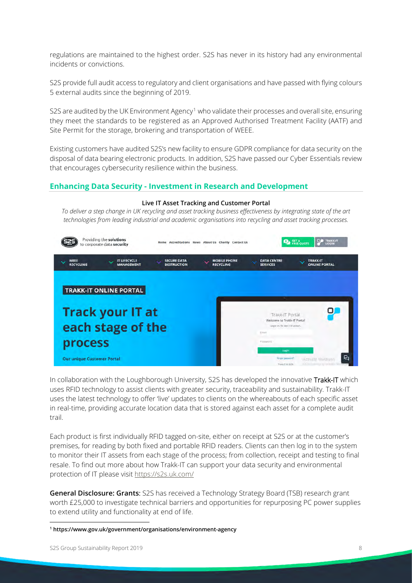regulations are maintained to the highest order. S2S has never in its history had any environmental incidents or convictions.

S2S provide full audit access to regulatory and client organisations and have passed with flying colours 5 external audits since the beginning of 2019.

S2S are audited by the UK Environment Agency<sup>[1](#page-7-1)</sup> who validate their processes and overall site, ensuring they meet the standards to be registered as an Approved Authorised Treatment Facility (AATF) and Site Permit for the storage, brokering and transportation of WEEE.

Existing customers have audited S2S's new facility to ensure GDPR compliance for data security on the disposal of data bearing electronic products. In addition, S2S have passed our Cyber Essentials review that encourages cybersecurity resilience within the business.

#### <span id="page-7-0"></span>**Enhancing Data Security - Investment in Research and Development**

#### **Live IT Asset Tracking and Customer Portal**

*To deliver a step change in UK recycling and asset tracking business effectiveness by integrating state of the art technologies from leading industrial and academic organisations into recycling and asset tracking processes.*



In collaboration with the Loughborough University, S2S has developed the innovative Trakk-IT which uses RFID technology to assist clients with greater security, traceability and sustainability. Trakk-IT uses the latest technology to offer 'live' updates to clients on the whereabouts of each specific asset in real-time, providing accurate location data that is stored against each asset for a complete audit trail.

Each product is first individually RFID tagged on-site, either on receipt at S2S or at the customer's premises, for reading by both fixed and portable RFID readers. Clients can then log in to the system to monitor their IT assets from each stage of the process; from collection, receipt and testing to final resale. To find out more about how Trakk-IT can support your data security and environmental protection of IT please visi[t https://s2s.uk.com/](https://s2s.uk.com/)

**General Disclosure: Grants**: S2S has received a Technology Strategy Board (TSB) research grant worth £25,000 to investigate technical barriers and opportunities for repurposing PC power supplies to extend utility and functionality at end of life.

<span id="page-7-1"></span>**<sup>1</sup> https://www.gov.uk/government/organisations/environment-agency**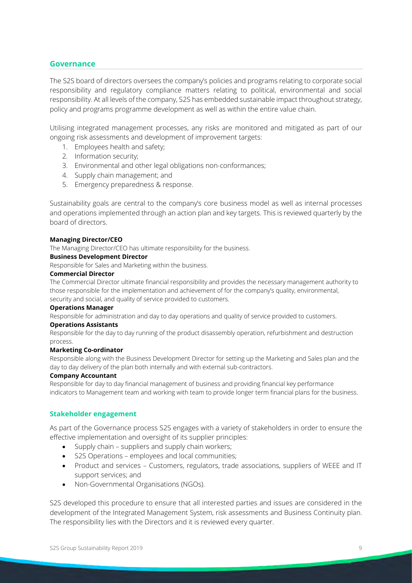#### <span id="page-8-0"></span>**Governance**

The S2S board of directors oversees the company's policies and programs relating to corporate social responsibility and regulatory compliance matters relating to political, environmental and social responsibility. At all levels of the company, S2S has embedded sustainable impact throughout strategy, policy and programs programme development as well as within the entire value chain.

Utilising integrated management processes, any risks are monitored and mitigated as part of our ongoing risk assessments and development of improvement targets:

- 1. Employees health and safety;
- 2. Information security;
- 3. Environmental and other legal obligations non-conformances;
- 4. Supply chain management; and
- 5. Emergency preparedness & response.

Sustainability goals are central to the company's core business model as well as internal processes and operations implemented through an action plan and key targets. This is reviewed quarterly by the board of directors.

#### **Managing Director/CEO**

The Managing Director/CEO has ultimate responsibility for the business.

#### **Business Development Director**

Responsible for Sales and Marketing within the business.

#### **Commercial Director**

The Commercial Director ultimate financial responsibility and provides the necessary management authority to those responsible for the implementation and achievement of for the company's quality, environmental, security and social, and quality of service provided to customers.

#### **Operations Manager**

Responsible for administration and day to day operations and quality of service provided to customers.

#### **Operations Assistants**

Responsible for the day to day running of the product disassembly operation, refurbishment and destruction process.

#### **Marketing Co-ordinator**

Responsible along with the Business Development Director for setting up the Marketing and Sales plan and the day to day delivery of the plan both internally and with external sub-contractors.

#### **Company Accountant**

Responsible for day to day financial management of business and providing financial key performance indicators to Management team and working with team to provide longer term financial plans for the business.

#### <span id="page-8-1"></span>**Stakeholder engagement**

As part of the Governance process S2S engages with a variety of stakeholders in order to ensure the effective implementation and oversight of its supplier principles:

- Supply chain suppliers and supply chain workers;
- S2S Operations employees and local communities;
- Product and services Customers, regulators, trade associations, suppliers of WEEE and IT support services; and
- Non-Governmental Organisations (NGOs).

S2S developed this procedure to ensure that all interested parties and issues are considered in the development of the Integrated Management System, risk assessments and Business Continuity plan. The responsibility lies with the Directors and it is reviewed every quarter.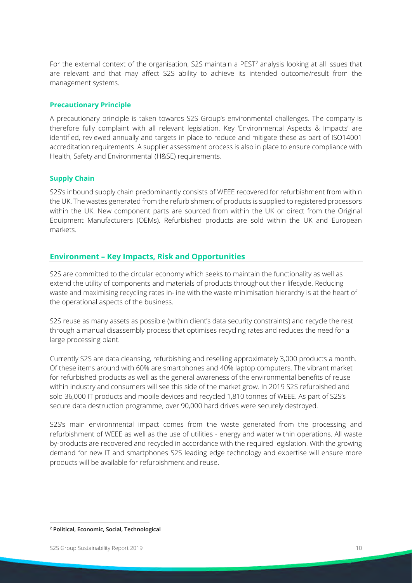For the external context of the organisation, S[2](#page-9-3)S maintain a PEST<sup>2</sup> analysis looking at all issues that are relevant and that may affect S2S ability to achieve its intended outcome/result from the management systems.

#### <span id="page-9-0"></span>**Precautionary Principle**

A precautionary principle is taken towards S2S Group's environmental challenges. The company is therefore fully complaint with all relevant legislation. Key 'Environmental Aspects & Impacts' are identified, reviewed annually and targets in place to reduce and mitigate these as part of ISO14001 accreditation requirements. A supplier assessment process is also in place to ensure compliance with Health, Safety and Environmental (H&SE) requirements.

#### <span id="page-9-1"></span>**Supply Chain**

S2S's inbound supply chain predominantly consists of WEEE recovered for refurbishment from within the UK. The wastes generated from the refurbishment of products is supplied to registered processors within the UK. New component parts are sourced from within the UK or direct from the Original Equipment Manufacturers (OEMs). Refurbished products are sold within the UK and European markets.

#### <span id="page-9-2"></span>**Environment – Key Impacts, Risk and Opportunities**

S2S are committed to the circular economy which seeks to maintain the functionality as well as extend the utility of components and materials of products throughout their lifecycle. Reducing waste and maximising recycling rates in-line with the waste minimisation hierarchy is at the heart of the operational aspects of the business.

S2S reuse as many assets as possible (within client's data security constraints) and recycle the rest through a manual disassembly process that optimises recycling rates and reduces the need for a large processing plant.

Currently S2S are data cleansing, refurbishing and reselling approximately 3,000 products a month. Of these items around with 60% are smartphones and 40% laptop computers. The vibrant market for refurbished products as well as the general awareness of the environmental benefits of reuse within industry and consumers will see this side of the market grow. In 2019 S2S refurbished and sold 36,000 IT products and mobile devices and recycled 1,810 tonnes of WEEE. As part of S2S's secure data destruction programme, over 90,000 hard drives were securely destroyed.

S2S's main environmental impact comes from the waste generated from the processing and refurbishment of WEEE as well as the use of utilities - energy and water within operations. All waste by-products are recovered and recycled in accordance with the required legislation. With the growing demand for new IT and smartphones S2S leading edge technology and expertise will ensure more products will be available for refurbishment and reuse.

<span id="page-9-3"></span>**<sup>2</sup> Political, Economic, Social, Technological**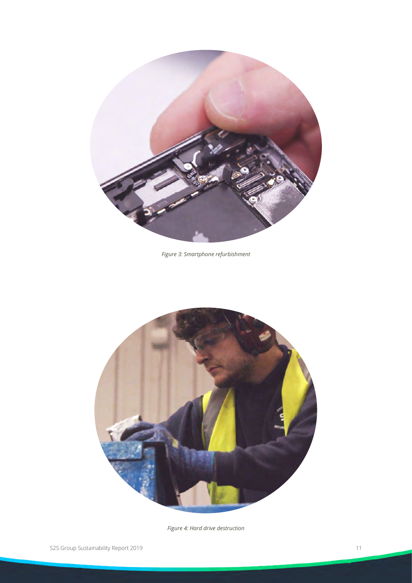

*Figure 3: Smartphone refurbishment*

<span id="page-10-0"></span>

<span id="page-10-1"></span>*Figure 4: Hard drive destruction*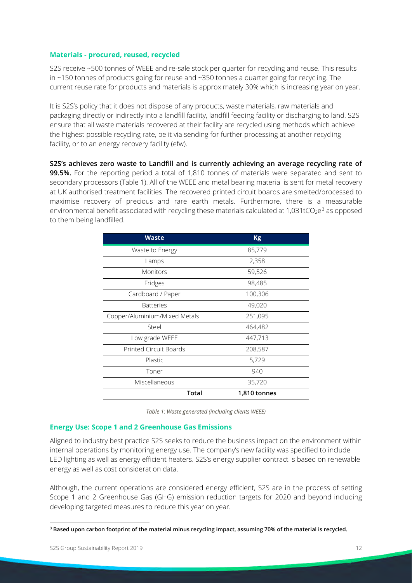#### <span id="page-11-0"></span>**Materials - procured, reused, recycled**

S2S receive ~500 tonnes of WEEE and re-sale stock per quarter for recycling and reuse. This results in ~150 tonnes of products going for reuse and ~350 tonnes a quarter going for recycling. The current reuse rate for products and materials is approximately 30% which is increasing year on year.

It is S2S's policy that it does not dispose of any products, waste materials, raw materials and packaging directly or indirectly into a landfill facility, landfill feeding facility or discharging to land. S2S ensure that all waste materials recovered at their facility are recycled using methods which achieve the highest possible recycling rate, be it via sending for further processing at another recycling facility, or to an energy recovery facility (efw).

**S2S's achieves zero waste to Landfill and is currently achieving an average recycling rate of 99.5%.** For the reporting period a total of 1,810 tonnes of materials were separated and sent to secondary processors (Table 1). All of the WEEE and metal bearing material is sent for metal recovery at UK authorised treatment facilities. The recovered printed circuit boards are smelted/processed to maximise recovery of precious and rare earth metals. Furthermore, there is a measurable environmental benefit associated with recycling these materials calculated at 1,0[3](#page-11-3)1tCO<sub>2</sub>e<sup>3</sup> as opposed to them being landfilled.

| <b>Waste</b>                  | <b>Kg</b>    |  |
|-------------------------------|--------------|--|
| Waste to Energy               | 85,779       |  |
| Lamps                         | 2,358        |  |
| <b>Monitors</b>               | 59,526       |  |
| Fridges                       | 98,485       |  |
| Cardboard / Paper             | 100,306      |  |
| <b>Batteries</b>              | 49,020       |  |
| Copper/Aluminium/Mixed Metals | 251,095      |  |
| Steel                         | 464,482      |  |
| Low grade WEEE                | 447,713      |  |
| Printed Circuit Boards        | 208,587      |  |
| Plastic                       | 5,729        |  |
| Toner                         | 940          |  |
| Miscellaneous                 | 35,720       |  |
| Total                         | 1,810 tonnes |  |

*Table 1: Waste generated (including clients WEEE)* 

#### <span id="page-11-2"></span><span id="page-11-1"></span>**Energy Use: Scope 1 and 2 Greenhouse Gas Emissions**

Aligned to industry best practice S2S seeks to reduce the business impact on the environment within internal operations by monitoring energy use. The company's new facility was specified to include LED lighting as well as energy efficient heaters. S2S's energy supplier contract is based on renewable energy as well as cost consideration data.

Although, the current operations are considered energy efficient, S2S are in the process of setting Scope 1 and 2 Greenhouse Gas (GHG) emission reduction targets for 2020 and beyond including developing targeted measures to reduce this year on year.

<span id="page-11-3"></span>**<sup>3</sup> Based upon carbon footprint of the material minus recycling impact, assuming 70% of the material is recycled.**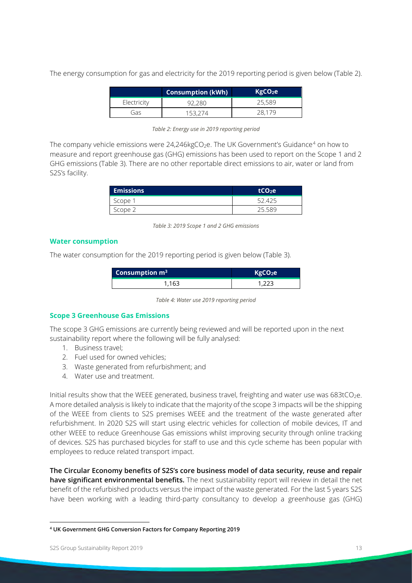The energy consumption for gas and electricity for the 2019 reporting period is given below (Table 2).

| <b>Consumption (kWh)</b> |  | KgCO <sub>2</sub> e |
|--------------------------|--|---------------------|
| Electricity              |  | 25,589              |
| Gas                      |  |                     |

<span id="page-12-2"></span>The company vehicle emissions were  $24,246$  $24,246$  $24,246$ kgCO<sub>2</sub>e. The UK Government's Guidance<sup>4</sup> on how to measure and report greenhouse gas (GHG) emissions has been used to report on the Scope 1 and 2 GHG emissions (Table 3). There are no other reportable direct emissions to air, water or land from S2S's facility.

| <b>Emissions</b> | tCO <sub>2</sub> e |
|------------------|--------------------|
| Scope            |                    |
|                  | ı.,                |

*Table 3: 2019 Scope 1 and 2 GHG emissions*

#### <span id="page-12-3"></span><span id="page-12-0"></span>**Water consumption**

The water consumption for the 2019 reporting period is given below (Table 3).

| Consumption $m3$ | KgCO <sub>2</sub> e |
|------------------|---------------------|
| 1.163            |                     |

*Table 4: Water use 2019 reporting period*

#### <span id="page-12-4"></span><span id="page-12-1"></span>**Scope 3 Greenhouse Gas Emissions**

The scope 3 GHG emissions are currently being reviewed and will be reported upon in the next sustainability report where the following will be fully analysed:

- 1. Business travel;
- 2. Fuel used for owned vehicles;
- 3. Waste generated from refurbishment; and
- 4. Water use and treatment.

Initial results show that the WEEE generated, business travel, freighting and water use was 683tCO<sub>2</sub>e. A more detailed analysis is likely to indicate that the majority of the scope 3 impacts will be the shipping of the WEEE from clients to S2S premises WEEE and the treatment of the waste generated after refurbishment. In 2020 S2S will start using electric vehicles for collection of mobile devices, IT and other WEEE to reduce Greenhouse Gas emissions whilst improving security through online tracking of devices. S2S has purchased bicycles for staff to use and this cycle scheme has been popular with employees to reduce related transport impact.

**The Circular Economy benefits of S2S's core business model of data security, reuse and repair have significant environmental benefits.** The next sustainability report will review in detail the net benefit of the refurbished products versus the impact of the waste generated. For the last 5 years S2S have been working with a leading third-party consultancy to develop a greenhouse gas (GHG)

<span id="page-12-5"></span>**<sup>4</sup> UK Government GHG Conversion Factors for Company Reporting 2019**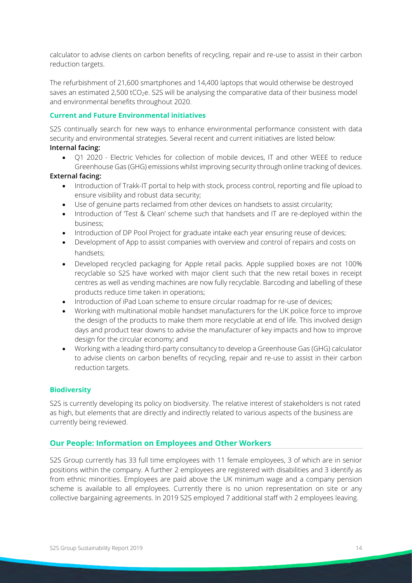calculator to advise clients on carbon benefits of recycling, repair and re-use to assist in their carbon reduction targets.

The refurbishment of 21,600 smartphones and 14,400 laptops that would otherwise be destroyed saves an estimated 2,500 tCO<sub>2</sub>e. S2S will be analysing the comparative data of their business model and environmental benefits throughout 2020.

#### <span id="page-13-0"></span>**Current and Future Environmental initiatives**

S2S continually search for new ways to enhance environmental performance consistent with data security and environmental strategies. Several recent and current initiatives are listed below: **Internal facing:** 

• Q1 2020 - Electric Vehicles for collection of mobile devices, IT and other WEEE to reduce Greenhouse Gas (GHG) emissions whilst improving security through online tracking of devices.

#### **External facing:**

- Introduction of Trakk-IT portal to help with stock, process control, reporting and file upload to ensure visibility and robust data security;
- Use of genuine parts reclaimed from other devices on handsets to assist circularity;
- Introduction of Test & Clean' scheme such that handsets and IT are re-deployed within the business;
- Introduction of DP Pool Project for graduate intake each year ensuring reuse of devices;
- Development of App to assist companies with overview and control of repairs and costs on handsets;
- Developed recycled packaging for Apple retail packs. Apple supplied boxes are not 100% recyclable so S2S have worked with major client such that the new retail boxes in receipt centres as well as vending machines are now fully recyclable. Barcoding and labelling of these products reduce time taken in operations;
- Introduction of iPad Loan scheme to ensure circular roadmap for re-use of devices;
- Working with multinational mobile handset manufacturers for the UK police force to improve the design of the products to make them more recyclable at end of life. This involved design days and product tear downs to advise the manufacturer of key impacts and how to improve design for the circular economy; and
- Working with a leading third-party consultancy to develop a Greenhouse Gas (GHG) calculator to advise clients on carbon benefits of recycling, repair and re-use to assist in their carbon reduction targets.

#### <span id="page-13-1"></span>**Biodiversity**

S2S is currently developing its policy on biodiversity. The relative interest of stakeholders is not rated as high, but elements that are directly and indirectly related to various aspects of the business are currently being reviewed.

#### <span id="page-13-2"></span>**Our People: Information on Employees and Other Workers**

S2S Group currently has 33 full time employees with 11 female employees, 3 of which are in senior positions within the company. A further 2 employees are registered with disabilities and 3 identify as from ethnic minorities. Employees are paid above the UK minimum wage and a company pension scheme is available to all employees. Currently there is no union representation on site or any collective bargaining agreements. In 2019 S2S employed 7 additional staff with 2 employees leaving.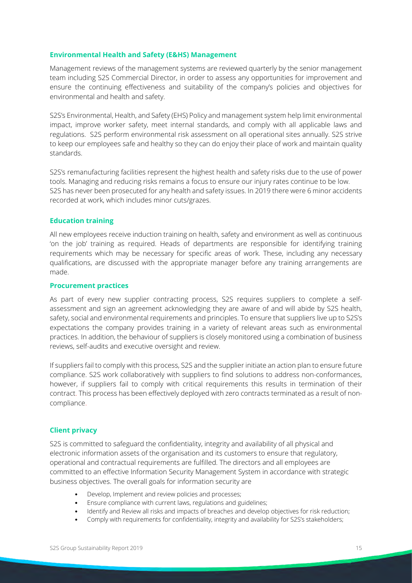#### <span id="page-14-0"></span>**Environmental Health and Safety (E&HS) Management**

Management reviews of the management systems are reviewed quarterly by the senior management team including S2S Commercial Director, in order to assess any opportunities for improvement and ensure the continuing effectiveness and suitability of the company's policies and objectives for environmental and health and safety.

S2S's Environmental, Health, and Safety (EHS) Policy and management system help limit environmental impact, improve worker safety, meet internal standards, and comply with all applicable laws and regulations. S2S perform environmental risk assessment on all operational sites annually. S2S strive to keep our employees safe and healthy so they can do enjoy their place of work and maintain quality standards.

S2S's remanufacturing facilities represent the highest health and safety risks due to the use of power tools. Managing and reducing risks remains a focus to ensure our injury rates continue to be low. S2S has never been prosecuted for any health and safety issues. In 2019 there were 6 minor accidents recorded at work, which includes minor cuts/grazes.

#### <span id="page-14-1"></span>**Education training**

All new employees receive induction training on health, safety and environment as well as continuous 'on the job' training as required. Heads of departments are responsible for identifying training requirements which may be necessary for specific areas of work. These, including any necessary qualifications, are discussed with the appropriate manager before any training arrangements are made.

#### <span id="page-14-2"></span>**Procurement practices**

As part of every new supplier contracting process, S2S requires suppliers to complete a selfassessment and sign an agreement acknowledging they are aware of and will abide by S2S health, safety, social and environmental requirements and principles. To ensure that suppliers live up to S2S's expectations the company provides training in a variety of relevant areas such as environmental practices. In addition, the behaviour of suppliers is closely monitored using a combination of business reviews, self-audits and executive oversight and review.

If suppliers fail to comply with this process, S2S and the supplier initiate an action plan to ensure future compliance. S2S work collaboratively with suppliers to find solutions to address non-conformances, however, if suppliers fail to comply with critical requirements this results in termination of their contract. This process has been effectively deployed with zero contracts terminated as a result of noncompliance.

#### <span id="page-14-3"></span>**Client privacy**

S2S is committed to safeguard the confidentiality, integrity and availability of all physical and electronic information assets of the organisation and its customers to ensure that regulatory, operational and contractual requirements are fulfilled. The directors and all employees are committed to an effective Information Security Management System in accordance with strategic business objectives. The overall goals for information security are

- Develop, Implement and review policies and processes;
- Ensure compliance with current laws, regulations and guidelines;
- Identify and Review all risks and impacts of breaches and develop objectives for risk reduction;
- Comply with requirements for confidentiality, integrity and availability for S2S's stakeholders;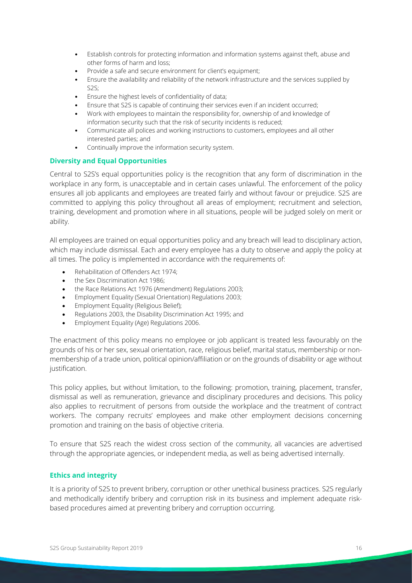- Establish controls for protecting information and information systems against theft, abuse and other forms of harm and loss;
- Provide a safe and secure environment for client's equipment;
- Ensure the availability and reliability of the network infrastructure and the services supplied by S2S;
- Ensure the highest levels of confidentiality of data;
- Ensure that S2S is capable of continuing their services even if an incident occurred;
- Work with employees to maintain the responsibility for, ownership of and knowledge of information security such that the risk of security incidents is reduced;
- Communicate all polices and working instructions to customers, employees and all other interested parties; and
- Continually improve the information security system.

#### <span id="page-15-0"></span>**Diversity and Equal Opportunities**

Central to S2S's equal opportunities policy is the recognition that any form of discrimination in the workplace in any form, is unacceptable and in certain cases unlawful. The enforcement of the policy ensures all job applicants and employees are treated fairly and without favour or prejudice. S2S are committed to applying this policy throughout all areas of employment; recruitment and selection, training, development and promotion where in all situations, people will be judged solely on merit or ability.

All employees are trained on equal opportunities policy and any breach will lead to disciplinary action, which may include dismissal. Each and every employee has a duty to observe and apply the policy at all times. The policy is implemented in accordance with the requirements of:

- Rehabilitation of Offenders Act 1974;
- the Sex Discrimination Act 1986;
- the Race Relations Act 1976 (Amendment) Regulations 2003;
- Employment Equality (Sexual Orientation) Regulations 2003;
- Employment Equality (Religious Belief);
- Regulations 2003, the Disability Discrimination Act 1995; and
- Employment Equality (Age) Regulations 2006.

The enactment of this policy means no employee or job applicant is treated less favourably on the grounds of his or her sex, sexual orientation, race, religious belief, marital status, membership or nonmembership of a trade union, political opinion/affiliation or on the grounds of disability or age without justification.

This policy applies, but without limitation, to the following: promotion, training, placement, transfer, dismissal as well as remuneration, grievance and disciplinary procedures and decisions. This policy also applies to recruitment of persons from outside the workplace and the treatment of contract workers. The company recruits' employees and make other employment decisions concerning promotion and training on the basis of objective criteria.

To ensure that S2S reach the widest cross section of the community, all vacancies are advertised through the appropriate agencies, or independent media, as well as being advertised internally.

#### <span id="page-15-1"></span>**Ethics and integrity**

It is a priority of S2S to prevent bribery, corruption or other unethical business practices. S2S regularly and methodically identify bribery and corruption risk in its business and implement adequate riskbased procedures aimed at preventing bribery and corruption occurring.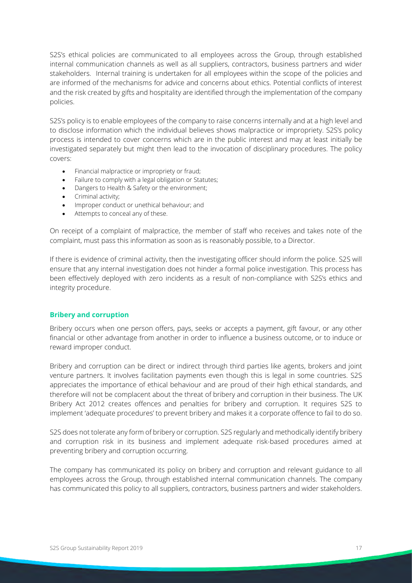S2S's ethical policies are communicated to all employees across the Group, through established internal communication channels as well as all suppliers, contractors, business partners and wider stakeholders. Internal training is undertaken for all employees within the scope of the policies and are informed of the mechanisms for advice and concerns about ethics. Potential conflicts of interest and the risk created by gifts and hospitality are identified through the implementation of the company policies.

S2S's policy is to enable employees of the company to raise concerns internally and at a high level and to disclose information which the individual believes shows malpractice or impropriety. S2S's policy process is intended to cover concerns which are in the public interest and may at least initially be investigated separately but might then lead to the invocation of disciplinary procedures. The policy covers:

- Financial malpractice or impropriety or fraud;
- Failure to comply with a legal obligation or Statutes;
- Dangers to Health & Safety or the environment;
- Criminal activity;
- Improper conduct or unethical behaviour; and
- Attempts to conceal any of these.

On receipt of a complaint of malpractice, the member of staff who receives and takes note of the complaint, must pass this information as soon as is reasonably possible, to a Director.

If there is evidence of criminal activity, then the investigating officer should inform the police. S2S will ensure that any internal investigation does not hinder a formal police investigation. This process has been effectively deployed with zero incidents as a result of non-compliance with S2S's ethics and integrity procedure.

#### <span id="page-16-0"></span>**Bribery and corruption**

Bribery occurs when one person offers, pays, seeks or accepts a payment, gift favour, or any other financial or other advantage from another in order to influence a business outcome, or to induce or reward improper conduct.

Bribery and corruption can be direct or indirect through third parties like agents, brokers and joint venture partners. It involves facilitation payments even though this is legal in some countries. S2S appreciates the importance of ethical behaviour and are proud of their high ethical standards, and therefore will not be complacent about the threat of bribery and corruption in their business. The UK Bribery Act 2012 creates offences and penalties for bribery and corruption. It requires S2S to implement 'adequate procedures' to prevent bribery and makes it a corporate offence to fail to do so.

S2S does not tolerate any form of bribery or corruption. S2S regularly and methodically identify bribery and corruption risk in its business and implement adequate risk-based procedures aimed at preventing bribery and corruption occurring.

The company has communicated its policy on bribery and corruption and relevant guidance to all employees across the Group, through established internal communication channels. The company has communicated this policy to all suppliers, contractors, business partners and wider stakeholders.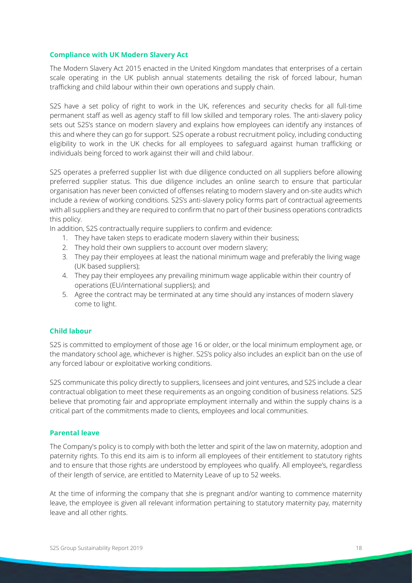#### <span id="page-17-0"></span>**Compliance with UK Modern Slavery Act**

The Modern Slavery Act 2015 enacted in the United Kingdom mandates that enterprises of a certain scale operating in the UK publish annual statements detailing the risk of forced labour, human trafficking and child labour within their own operations and supply chain.

S2S have a set policy of right to work in the UK, references and security checks for all full-time permanent staff as well as agency staff to fill low skilled and temporary roles. The anti-slavery policy sets out S2S's stance on modern slavery and explains how employees can identify any instances of this and where they can go for support. S2S operate a robust recruitment policy, including conducting eligibility to work in the UK checks for all employees to safeguard against human trafficking or individuals being forced to work against their will and child labour.

S2S operates a preferred supplier list with due diligence conducted on all suppliers before allowing preferred supplier status. This due diligence includes an online search to ensure that particular organisation has never been convicted of offenses relating to modern slavery and on-site audits which include a review of working conditions. S2S's anti-slavery policy forms part of contractual agreements with all suppliers and they are required to confirm that no part of their business operations contradicts this policy.

In addition, S2S contractually require suppliers to confirm and evidence:

- 1. They have taken steps to eradicate modern slavery within their business;
- 2. They hold their own suppliers to account over modern slavery;
- 3. They pay their employees at least the national minimum wage and preferably the living wage (UK based suppliers);
- 4. They pay their employees any prevailing minimum wage applicable within their country of operations (EU/international suppliers); and
- 5. Agree the contract may be terminated at any time should any instances of modern slavery come to light.

#### <span id="page-17-1"></span>**Child labour**

S2S is committed to employment of those age 16 or older, or the local minimum employment age, or the mandatory school age, whichever is higher. S2S's policy also includes an explicit ban on the use of any forced labour or exploitative working conditions.

S2S communicate this policy directly to suppliers, licensees and joint ventures, and S2S include a clear contractual obligation to meet these requirements as an ongoing condition of business relations. S2S believe that promoting fair and appropriate employment internally and within the supply chains is a critical part of the commitments made to clients, employees and local communities.

#### <span id="page-17-2"></span>**Parental leave**

The Company's policy is to comply with both the letter and spirit of the law on maternity, adoption and paternity rights. To this end its aim is to inform all employees of their entitlement to statutory rights and to ensure that those rights are understood by employees who qualify. All employee's, regardless of their length of service, are entitled to Maternity Leave of up to 52 weeks.

At the time of informing the company that she is pregnant and/or wanting to commence maternity leave, the employee is given all relevant information pertaining to statutory maternity pay, maternity leave and all other rights.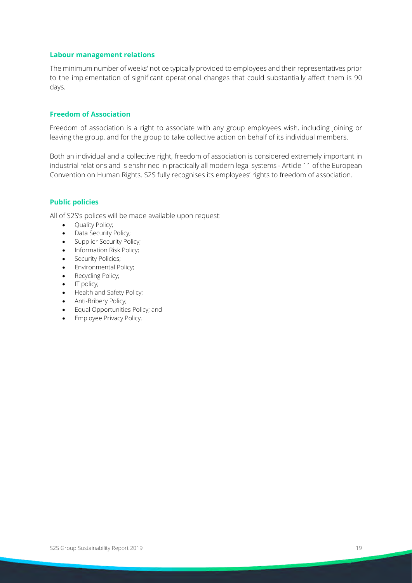#### <span id="page-18-0"></span>**Labour management relations**

The minimum number of weeks' notice typically provided to employees and their representatives prior to the implementation of significant operational changes that could substantially affect them is 90 days.

#### <span id="page-18-1"></span>**Freedom of Association**

Freedom of association is a right to associate with any group employees wish, including joining or leaving the group, and for the group to take collective action on behalf of its individual members.

Both an individual and a collective right, freedom of association is considered extremely important in industrial relations and is enshrined in practically all modern legal systems - Article 11 of the European Convention on Human Rights. S2S fully recognises its employees' rights to freedom of association.

#### <span id="page-18-2"></span>**Public policies**

All of S2S's polices will be made available upon request:

- Ouality Policy;
- Data Security Policy;
- Supplier Security Policy;
- Information Risk Policy;
- Security Policies;
- Environmental Policy;
- Recycling Policy;
- IT policy;
- Health and Safety Policy;
- Anti-Bribery Policy;
- Equal Opportunities Policy; and
- Employee Privacy Policy.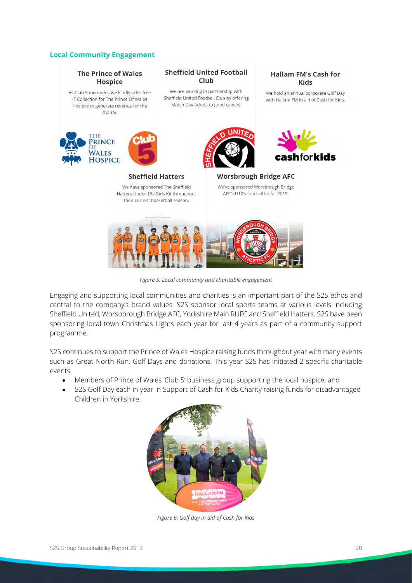#### <span id="page-19-0"></span>**Local Community Engagement**



<span id="page-19-1"></span>Engaging and supporting local communities and charities is an important part of the S2S ethos and central to the company's brand values. S2S sponsor local sports teams at various levels including Sheffield United, Worsborough Bridge AFC, Yorkshire Main RUFC and Sheffield Hatters. S2S have been sponsoring local town Christmas Lights each year for last 4 years as part of a community support programme.

S2S continues to support the Prince of Wales Hospice raising funds throughout year with many events such as Great North Run, Golf Days and donations. This year S2S has initiated 2 specific charitable events:

- Members of Prince of Wales 'Club 5' business group supporting the local hospice; and
- <span id="page-19-2"></span>• S2S Golf Day each in year in Support of Cash for Kids Charity raising funds for disadvantaged Children in Yorkshire.



*Figure 6: Golf day in aid of Cash for Kids*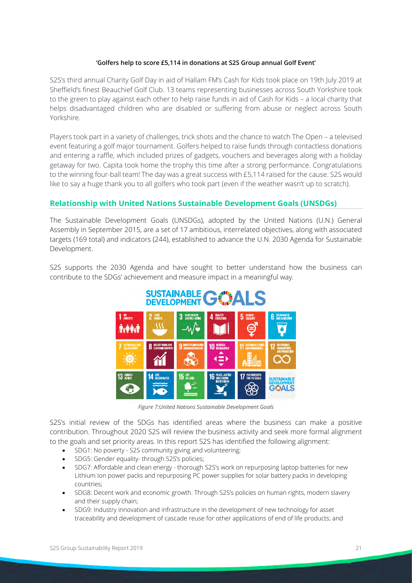#### **'Golfers help to score £5,114 in donations at S2S Group annual Golf Event'**

S2S's third annual Charity Golf Day in aid of Hallam FM's Cash for Kids took place on 19th July 2019 at Sheffield's finest Beauchief Golf Club. 13 teams representing businesses across South Yorkshire took to the green to play against each other to help raise funds in aid of Cash for Kids – a local charity that helps disadvantaged children who are disabled or suffering from abuse or neglect across South Yorkshire.

Players took part in a variety of challenges, trick shots and the chance to watch The Open – a televised event featuring a golf major tournament. Golfers helped to raise funds through contactless donations and entering a raffle, which included prizes of gadgets, vouchers and beverages along with a holiday getaway for two. Capita took home the trophy this time after a strong performance. Congratulations to the winning four-ball team! The day was a great success with £5,114 raised for the cause. S2S would like to say a huge thank you to all golfers who took part (even if the weather wasn't up to scratch).

### <span id="page-20-0"></span>**Relationship with United Nations Sustainable Development Goals (UNSDGs)**

The Sustainable Development Goals (UNSDGs), adopted by the United Nations (U.N.) General Assembly in September 2015, are a set of 17 ambitious, interrelated objectives, along with associated targets (169 total) and indicators (244), established to advance the U.N. 2030 Agenda for Sustainable Development.

<span id="page-20-1"></span>S2S supports the 2030 Agenda and have sought to better understand how the business can contribute to the SDGs' achievement and measure impact in a meaningful way.



*Figure 7:United Nations Sustainable Development Goals*

S2S's initial review of the SDGs has identified areas where the business can make a positive contribution. Throughout 2020 S2S will review the business activity and seek more formal alignment to the goals and set priority areas. In this report S2S has identified the following alignment:

- SDG1: No poverty S2S community giving and volunteering;
- SDG5: Gender equality- through S2S's policies;
- SDG7: Affordable and clean energy thorough S2S's work on repurposing laptop batteries for new Lithium Ion power packs and repurposing PC power supplies for solar battery packs in developing countries;
- SDG8: Decent work and economic growth. Through S2S's policies on human rights, modern slavery and their supply chain;
- SDG9: Industry innovation and infrastructure in the development of new technology for asset traceability and development of cascade reuse for other applications of end of life products; and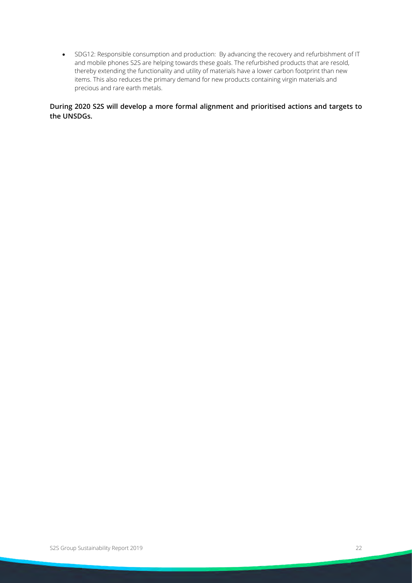• SDG12: Responsible consumption and production: By advancing the recovery and refurbishment of IT and mobile phones S2S are helping towards these goals. The refurbished products that are resold, thereby extending the functionality and utility of materials have a lower carbon footprint than new items. This also reduces the primary demand for new products containing virgin materials and precious and rare earth metals.

**During 2020 S2S will develop a more formal alignment and prioritised actions and targets to the UNSDGs.**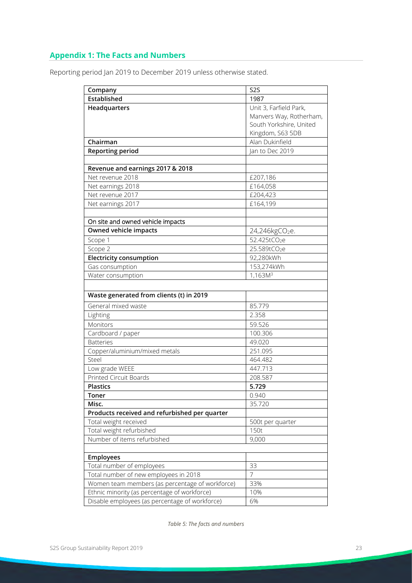## <span id="page-22-0"></span>**Appendix 1: The Facts and Numbers**

Reporting period Jan 2019 to December 2019 unless otherwise stated.

| Company                                         | S <sub>2</sub> S           |  |  |  |
|-------------------------------------------------|----------------------------|--|--|--|
| Established                                     | 1987                       |  |  |  |
| Headquarters                                    | Unit 3, Farfield Park,     |  |  |  |
|                                                 | Manvers Way, Rotherham,    |  |  |  |
|                                                 | South Yorkshire, United    |  |  |  |
|                                                 | Kingdom, S63 5DB           |  |  |  |
| Chairman                                        | Alan Dukinfield            |  |  |  |
| <b>Reporting period</b>                         | Jan to Dec 2019            |  |  |  |
|                                                 |                            |  |  |  |
| Revenue and earnings 2017 & 2018                |                            |  |  |  |
| Net revenue 2018                                | £207,186                   |  |  |  |
| Net earnings 2018                               | £164,058                   |  |  |  |
| Net revenue 2017                                | £204,423                   |  |  |  |
| Net earnings 2017                               | £164,199                   |  |  |  |
|                                                 |                            |  |  |  |
| On site and owned vehicle impacts               |                            |  |  |  |
| Owned vehicle impacts                           | 24,246kgCO <sub>2</sub> e. |  |  |  |
| Scope 1                                         | 52.425tCO <sub>2</sub> e   |  |  |  |
| Scope 2                                         | 25.589tCO <sub>2</sub> e   |  |  |  |
| <b>Electricity consumption</b>                  | 92,280kWh                  |  |  |  |
| Gas consumption                                 | 153,274kWh                 |  |  |  |
| Water consumption                               | 1,163M <sup>3</sup>        |  |  |  |
|                                                 |                            |  |  |  |
| Waste generated from clients (t) in 2019        |                            |  |  |  |
| General mixed waste                             | 85.779                     |  |  |  |
| Lighting                                        | 2.358                      |  |  |  |
| Monitors                                        | 59.526                     |  |  |  |
| Cardboard / paper                               | 100.306                    |  |  |  |
| <b>Batteries</b>                                | 49.020                     |  |  |  |
| Copper/aluminium/mixed metals                   | 251.095                    |  |  |  |
| Steel                                           | 464.482                    |  |  |  |
| Low grade WEEE                                  | 447.713                    |  |  |  |
| Printed Circuit Boards                          | 208.587                    |  |  |  |
| <b>Plastics</b>                                 | 5.729                      |  |  |  |
| Toner                                           | 0.940                      |  |  |  |
| Misc.                                           | 35.720                     |  |  |  |
| Products received and refurbished per quarter   |                            |  |  |  |
| Total weight received                           | 500t per quarter           |  |  |  |
| Total weight refurbished                        | 150t                       |  |  |  |
| Number of items refurbished                     | 9,000                      |  |  |  |
|                                                 |                            |  |  |  |
| Employees                                       |                            |  |  |  |
| Total number of employees                       | 33                         |  |  |  |
| Total number of new employees in 2018           | $\overline{7}$             |  |  |  |
| Women team members (as percentage of workforce) | 33%                        |  |  |  |
| Ethnic minority (as percentage of workforce)    | 10%                        |  |  |  |
| Disable employees (as percentage of workforce)  | 6%                         |  |  |  |

<span id="page-22-1"></span>*Table 5: The facts and numbers*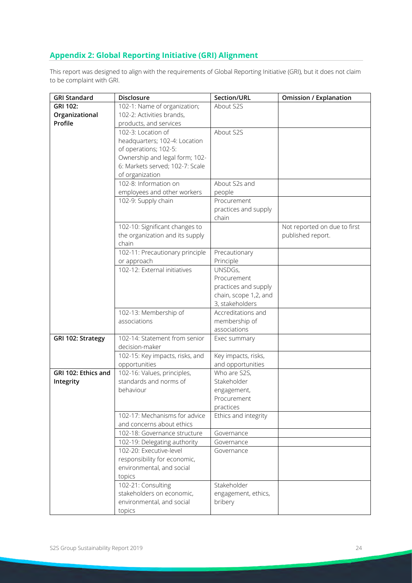## <span id="page-23-0"></span>**Appendix 2: Global Reporting Initiative (GRI) Alignment**

This report was designed to align with the requirements of Global Reporting Initiative (GRI), but it does not claim to be complaint with GRI.

| <b>GRI Standard</b> | Disclosure                                                                                                     | Section/URL                                                                                | <b>Omission / Explanation</b>                     |
|---------------------|----------------------------------------------------------------------------------------------------------------|--------------------------------------------------------------------------------------------|---------------------------------------------------|
| <b>GRI 102:</b>     | 102-1: Name of organization;                                                                                   | About S2S                                                                                  |                                                   |
| Organizational      | 102-2: Activities brands,                                                                                      |                                                                                            |                                                   |
| Profile             | products, and services                                                                                         |                                                                                            |                                                   |
|                     | 102-3: Location of<br>headquarters; 102-4: Location<br>of operations; 102-5:<br>Ownership and legal form; 102- | About S2S                                                                                  |                                                   |
|                     | 6: Markets served; 102-7: Scale<br>of organization                                                             |                                                                                            |                                                   |
|                     | 102-8: Information on<br>employees and other workers                                                           | About S2s and<br>people                                                                    |                                                   |
|                     | 102-9: Supply chain                                                                                            | Procurement<br>practices and supply<br>chain                                               |                                                   |
|                     | 102-10: Significant changes to<br>the organization and its supply<br>chain                                     |                                                                                            | Not reported on due to first<br>published report. |
|                     | 102-11: Precautionary principle<br>or approach                                                                 | Precautionary<br>Principle                                                                 |                                                   |
|                     | 102-12: External initiatives                                                                                   | UNSDGs,<br>Procurement<br>practices and supply<br>chain, scope 1,2, and<br>3, stakeholders |                                                   |
|                     | 102-13: Membership of<br>associations                                                                          | Accreditations and<br>membership of<br>associations                                        |                                                   |
| GRI 102: Strategy   | 102-14: Statement from senior<br>decision-maker                                                                | Exec summary                                                                               |                                                   |
|                     | 102-15: Key impacts, risks, and<br>opportunities                                                               | Key impacts, risks,<br>and opportunities                                                   |                                                   |
| GRI 102: Ethics and | 102-16: Values, principles,                                                                                    | Who are S2S,                                                                               |                                                   |
| Integrity           | standards and norms of                                                                                         | Stakeholder                                                                                |                                                   |
|                     | behaviour                                                                                                      | engagement,                                                                                |                                                   |
|                     |                                                                                                                | Procurement                                                                                |                                                   |
|                     |                                                                                                                | practices                                                                                  |                                                   |
|                     | 102-17: Mechanisms for advice<br>and concerns about ethics                                                     | Ethics and integrity                                                                       |                                                   |
|                     | 102-18: Governance structure                                                                                   | Governance                                                                                 |                                                   |
|                     | 102-19: Delegating authority                                                                                   | Governance                                                                                 |                                                   |
|                     | 102-20: Executive-level<br>responsibility for economic,<br>environmental, and social<br>topics                 | Governance                                                                                 |                                                   |
|                     | 102-21: Consulting<br>stakeholders on economic,<br>environmental, and social<br>topics                         | Stakeholder<br>engagement, ethics,<br>bribery                                              |                                                   |